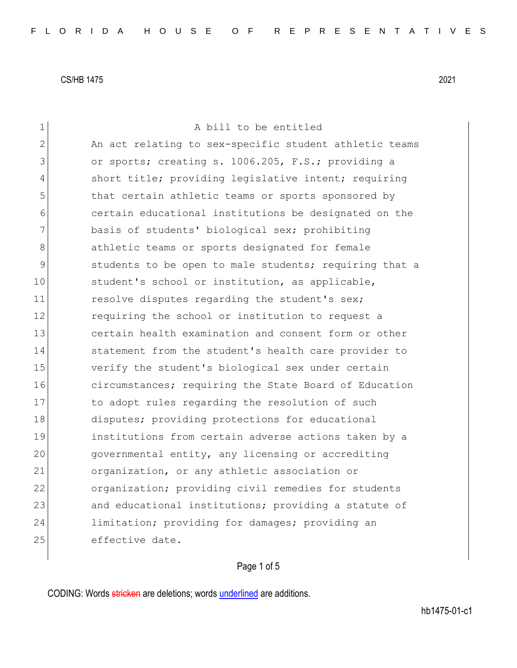| 1              | A bill to be entitled                                  |
|----------------|--------------------------------------------------------|
| $\overline{2}$ | An act relating to sex-specific student athletic teams |
| 3              | or sports; creating s. 1006.205, F.S.; providing a     |
| 4              | short title; providing legislative intent; requiring   |
| 5              | that certain athletic teams or sports sponsored by     |
| 6              | certain educational institutions be designated on the  |
| 7              | basis of students' biological sex; prohibiting         |
| 8              | athletic teams or sports designated for female         |
| 9              | students to be open to male students; requiring that a |
| 10             | student's school or institution, as applicable,        |
| 11             | resolve disputes regarding the student's sex;          |
| 12             | requiring the school or institution to request a       |
| 13             | certain health examination and consent form or other   |
| 14             | statement from the student's health care provider to   |
| 15             | verify the student's biological sex under certain      |
| 16             | circumstances; requiring the State Board of Education  |
| 17             | to adopt rules regarding the resolution of such        |
| 18             | disputes; providing protections for educational        |
| 19             | institutions from certain adverse actions taken by a   |
| 20             | governmental entity, any licensing or accrediting      |
| 21             | organization, or any athletic association or           |
| 22             | organization; providing civil remedies for students    |
| 23             | and educational institutions; providing a statute of   |
| 24             | limitation; providing for damages; providing an        |
| 25             | effective date.                                        |
|                |                                                        |

# Page 1 of 5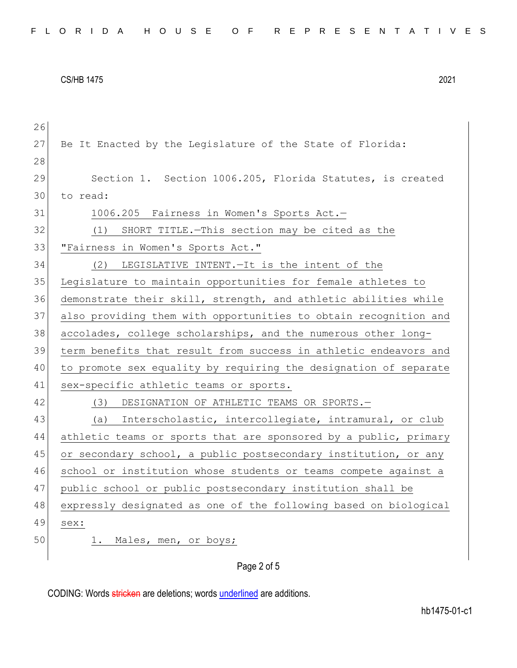| 26 |                                                                  |
|----|------------------------------------------------------------------|
| 27 | Be It Enacted by the Legislature of the State of Florida:        |
| 28 |                                                                  |
| 29 | Section 1. Section 1006.205, Florida Statutes, is created        |
| 30 | to read:                                                         |
| 31 | 1006.205 Fairness in Women's Sports Act.-                        |
| 32 | (1) SHORT TITLE. - This section may be cited as the              |
| 33 | "Fairness in Women's Sports Act."                                |
| 34 | LEGISLATIVE INTENT. - It is the intent of the<br>(2)             |
| 35 | Legislature to maintain opportunities for female athletes to     |
| 36 | demonstrate their skill, strength, and athletic abilities while  |
| 37 | also providing them with opportunities to obtain recognition and |
| 38 | accolades, college scholarships, and the numerous other long-    |
| 39 | term benefits that result from success in athletic endeavors and |
| 40 | to promote sex equality by requiring the designation of separate |
| 41 | sex-specific athletic teams or sports.                           |
| 42 | (3) DESIGNATION OF ATHLETIC TEAMS OR SPORTS.-                    |
| 43 | (a) Interscholastic, intercollegiate, intramural, or club        |
| 44 | athletic teams or sports that are sponsored by a public, primary |
| 45 | or secondary school, a public postsecondary institution, or any  |
| 46 | school or institution whose students or teams compete against a  |
| 47 | public school or public postsecondary institution shall be       |
| 48 | expressly designated as one of the following based on biological |
| 49 | sex:                                                             |
| 50 | 1. Males, men, or boys;                                          |
|    |                                                                  |

Page 2 of 5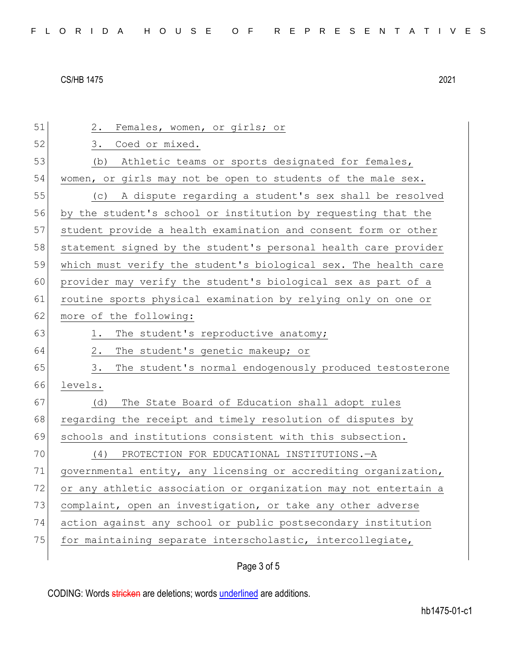| 51 | Females, women, or girls; or<br>2.                              |
|----|-----------------------------------------------------------------|
| 52 | Coed or mixed.<br>3.                                            |
| 53 | Athletic teams or sports designated for females,<br>(b)         |
| 54 | women, or girls may not be open to students of the male sex.    |
| 55 | A dispute regarding a student's sex shall be resolved<br>(C)    |
| 56 | by the student's school or institution by requesting that the   |
| 57 | student provide a health examination and consent form or other  |
| 58 | statement signed by the student's personal health care provider |
| 59 | which must verify the student's biological sex. The health care |
| 60 | provider may verify the student's biological sex as part of a   |
| 61 | routine sports physical examination by relying only on one or   |
| 62 | more of the following:                                          |
| 63 | The student's reproductive anatomy;<br>1.                       |
| 64 | The student's genetic makeup; or<br>2.                          |
| 65 | The student's normal endogenously produced testosterone<br>3.   |
| 66 | levels.                                                         |
| 67 | The State Board of Education shall adopt rules<br>(d)           |
| 68 | regarding the receipt and timely resolution of disputes by      |
| 69 | schools and institutions consistent with this subsection.       |
| 70 | PROTECTION FOR EDUCATIONAL INSTITUTIONS. - A<br>(4)             |
| 71 | governmental entity, any licensing or accrediting organization, |
| 72 | or any athletic association or organization may not entertain a |
| 73 | complaint, open an investigation, or take any other adverse     |
| 74 | action against any school or public postsecondary institution   |
|    |                                                                 |
| 75 | for maintaining separate interscholastic, intercollegiate,      |

# Page 3 of 5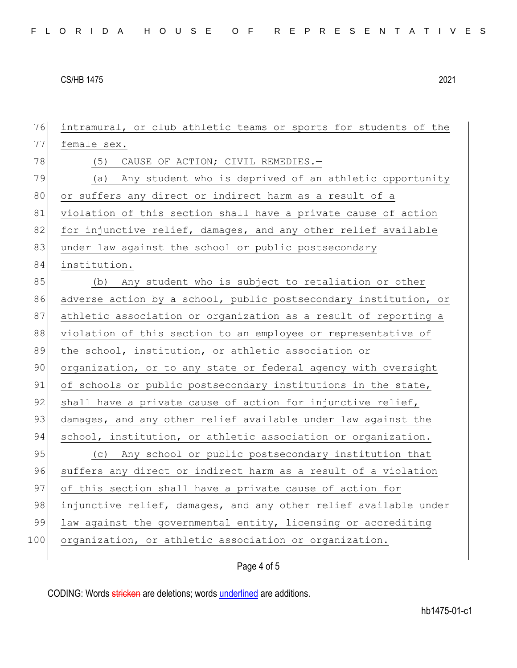76 intramural, or club athletic teams or sports for students of the 77 female sex. 78 (5) CAUSE OF ACTION; CIVIL REMEDIES. 79 (a) Any student who is deprived of an athletic opportunity 80 or suffers any direct or indirect harm as a result of a 81 violation of this section shall have a private cause of action 82 for injunctive relief, damages, and any other relief available 83 under law against the school or public postsecondary 84 institution. 85 (b) Any student who is subject to retaliation or other 86 adverse action by a school, public postsecondary institution, or 87 athletic association or organization as a result of reporting a 88 violation of this section to an employee or representative of 89 the school, institution, or athletic association or 90 organization, or to any state or federal agency with oversight 91 of schools or public postsecondary institutions in the state, 92 shall have a private cause of action for injunctive relief, 93 damages, and any other relief available under law against the 94 school, institution, or athletic association or organization. 95 (c) Any school or public postsecondary institution that 96 suffers any direct or indirect harm as a result of a violation 97 of this section shall have a private cause of action for 98 injunctive relief, damages, and any other relief available under 99 law against the governmental entity, licensing or accrediting 100 organization, or athletic association or organization.

### Page 4 of 5